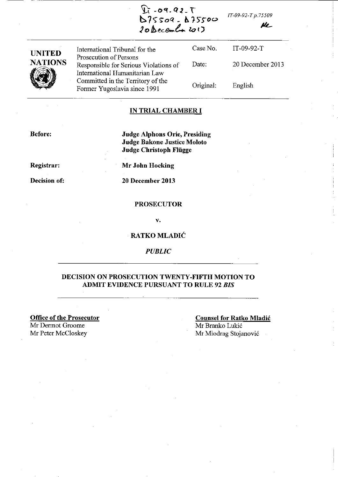*IT-09-92-T p.75509* 

IlL-

**UNITED NATIONS 1999** International Tribunal for the Prosecution of Persons Responsible for Serious Violations of International Humanitarian Law Committed in the Territory of the Former Yugoslavia since 1991 Case No. Date: Original: IT-09-92-T 20 December 2013 English

 $Y_1 - 09 - 92 - 1$ 

**b 7<)" S"oq \_** *b* **f'H-oo**  *20!J:. ece-t.... lo* **I J** 

#### **IN TRIAL CHAMBER I**

**Before:** 

**Judge Alphons Orie, Presiding Judge Bakone Justice Moloto Judge Christoph Fliigge** 

**Registrar:** 

**Decision of:** 

**Mr John Hocking** 

**20 December 2013** 

## **PROSECUTOR**

v.

## **RATKO MLADIC**

*PUBLIC* 

## **DECISION ON PROSECUTION TWENTY-FIFTH MOTION TO ADMIT EVIDENCE PURSUANT TO RULE 92** *BIS*

**Office of the Prosecutor**  Mr Dermot Groome Mr Peter McCloskey

**Counsel for Ratko Mladic**  Mr Branko Lukic Mr Miodrag Stojanovic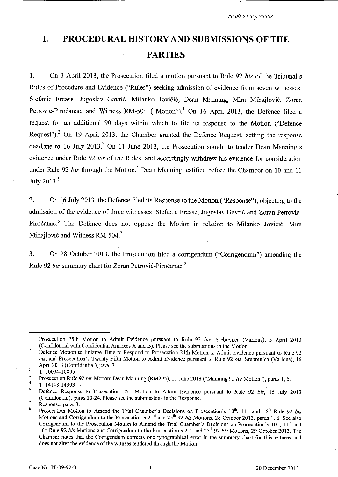# **I. PROCEDURAL HISTORY AND SUBMISSIONS OF THE PARTIES**

--------------------~~~~--,--- ------------------------.,---

1. On 3 April 2013, the Prosecution filed a motion pursuant to Rule 92 *bis* of the Tribunal's Rules of Procedure and Evidence ("Rules") seeking admission of evidence from seven witnesses: Stefanie Frease, Jugoslav Gavric, Milanko Jovicic, Dean Manning, Mira Mihajlovic, Zoran Petrović-Piroćanac, and Witness RM-504 ("Motion").<sup>1</sup> On 16 April 2013, the Defence filed a request for an additional 90 days within which to file its response to the Motion ("Defence Request")? On 19 April 2013, the Chamber granted the Defence Request, setting the response deadline to 16 July 2013. $3$  On 11 June 2013, the Prosecution sought to tender Dean Manning's evidence under Rule 92 ter of the Rules, and accordingly withdrew his evidence for consideration under Rule 92 *bis* through the Motion.<sup>4</sup> Dean Manning testified before the Chamber on 10 and 11 July *<sup>2013</sup> s* 

2. On 16 July 2013, the Defence filed its Response to the Motion ("Response"), objecting to the admission of the evidence of three witnesses: Stefanie Frease, Jugoslav Gav'ric and Zoran Petrovic-Piroćanac.<sup>6</sup> The Defence does not oppose the Motion in relation to Milanko Jovičić, Mira Mihajlović and Witness RM-504.<sup>7</sup>

3. On 28 October 2013, the Prosecution filed a corrigendum ("Corrigendum") amending the Rule 92 *bis* summary chart for Zoran Petrovic-Pirocanac. 8

 $\mathbf{1}$ Prosecution 25th Motion to Admit Evidence pursuant to Rule 92 *bis:* Srebrenica (Various), 3 April 2013 (Confidential with Confidential Annexes A and B). Please see the submissions in the Motion. 2

Defence Motion to Enlarge Time to Respond to Prosecution 24th Motion to Admit Evidence pursuant to Rule 92 *bis,* and Prosecution's Twenty Fifth Motion to Admit Evidence pursuant to Rule 92 *bis:* Srebrenica (Various), 16 April 2013 (Confidential), para. 7.  $\overline{\mathbf{3}}$ 

<sup>4</sup>  T. 10094-10095.

Prosecution Rule 92 ter Motion: Dean Manning (RM295), 11 June 2013 ("Manning 92 ter Motion"), paras 1, 6.

 $\overline{\mathbf{S}}$ T. 14148-14303.

<sup>6</sup>  Defence Response to Prosecution 25<sup>th</sup> Motion to Admit Evidence pursuant to Rule 92 *bis*, 16 July 2013 (Confidential), paras 10-24. Please see the submissions in the Response.

<sup>7</sup>  Response, para. 3.

Prosecution Motion to Amend the Trial Chamber's Decisions on Prosecution's 10<sup>th</sup>, 11<sup>th</sup> and 16<sup>th</sup> Rule 92 *bis* Motions and Corrigendum to the Prosecution's 21<sup>st</sup> and 25<sup>th</sup> 92 *bis* Motions, 28 October 2013, paras 1, 6. See also Corrigendum to the Prosecution Motion to Amend the Trial Chamber's Decisions on Prosecution's  $10^{th}$ ,  $11^{th}$  and 16th Rule 92 *bis* Motions and Corrigendum to the Prosecution's 21" and 25" 92 *bis* Motions, 29 October 2013. The Chamber notes that the Corrigendum corrects one typographical error in the summary chart for this witness and does not alter the evidence of the witness tendered through the Motion.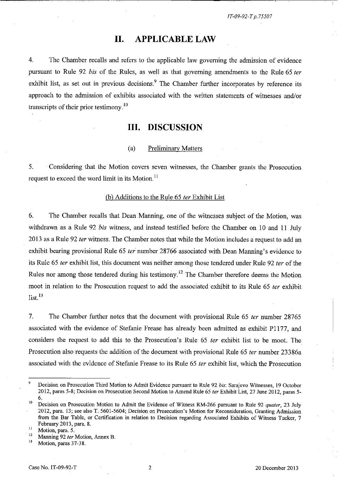------~-------------~~--~~~~---~-

# **II. APPLICABLE LAW**

4. The Chamber recalls and refers to the applicable law governing the admission of evidence pursuant to Rule 92 bis of the Rules, as well as that governing amendments to the Rule 65 ter exhibit list, as set out in previous decisions.<sup>9</sup> The Chamber further incorporates by reference its approach to the admission of exhibits associated with the written statements of witnesses and/or transcripts of their prior testimony. 10

# **III. DISCUSSION**

## ( a) Preliminary Matters

5. Considering that the Motion covers seven witnesses, the Chamber grants the Prosecution request to exceed the word limit in its Motion.<sup>11</sup>

#### (b) Additions to the Rule 65 fer Exhibit List

6. The Chamber recalls that Dean Manning, one of the witnesses subject of the Motion, was withdrawn as a Rule 92 bis witness, and instead testified before the Chamber on 10 and 11 July 2013 as a Rule 92 *ter* witness. The Chamber notes that while the Motion includes a request to add an exhibit bearing provisional Rule 65 ter number 28766 associated with Dean Manning's evidence to its Rule 65 ter exhibit list, this document was neither among those tendered under Rule 92 ter of the Rules nor among those tendered during his testimony.<sup>12</sup> The Chamber therefore deems the Motion moot in relation to the Prosecution request to add the associated exhibit to its Rule 65 fer exhibit  $list.<sup>13</sup>$ 

7. The Chamber further notes that the document with provisional Rule 65 *ter* number 28765 associated with the evidence of Stefanie Frease has already been admitted as exhibit PI177, and considers the request to add this to the Prosecution's Rule 65 fer exhibit list to be moot. The Prosecution also requests the addition of the document with provisional Rule 65 ter number 23386a associated with the evidence of Stefanie Frease to its Rule 65 fer exhibit list, which the Prosecution

Motion, paras 37-38.

<sup>9</sup> Decision on Prosecution Third Motion to Admit Evidence pursuant to Rule 92 *bis:* Sarajevo Witnesses, 19 October 2012, paras 5-8; Decision on Prosecution Second Motion to Amend Rule 65 *ter* Exhibit List, 27 June 2012, paras 5- 6.

<sup>10</sup> Decision on Prosecution Motion to Admit tbe Evidence of Witness RM-266 pursuant to Rule 92 *quater,* 23 July 2012, para. 13; see also T. 5601-5604; Decision on Prosecution's Motion for Reconsideration, Granting Admission from the Bar Table, or Certification in relation to Decision regarding Associated Exhibits of Witness Tucker, 7 February 2013, para. 8.

**<sup>11</sup>Motion, para. 5.** 

<sup>&</sup>lt;sup>12</sup> Manning 92 *ter* Motion, Annex B.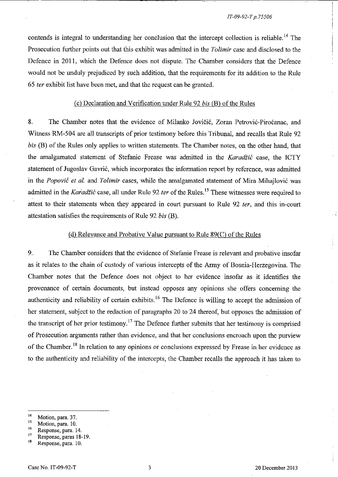contends is integral to understanding her conclusion that the intercept collection is reliable.<sup>14</sup> The Prosecution further points out that this exhibit was admitted in the *Tolimir* case and disclosed to the Defence in 2011, which the Defence does not dispute. The Chamber considers that the Defence would not be unduly prejudiced by such addition, that the requirements for its addition to the Rule 65 fer exhibit list have been met, and that the request can be granted.

## (c) Declaration and Verification under Rule 92 *bis* (B) of the Rules

8. The Chamber notes that the evidence of Milanko Jovičić, Zoran Petrović-Piroćanac, and Witness RM-504 are all transcripts of prior testimony before this Tribunal, and recalls that Rule 92 *bis* (B) of the Rules only applies to written statements. The Chamber notes, on the other hand, that the amalgamated statement of Stefanie Frease was admitted in the Karadžić case, the ICTY statement of Jugoslav Gavrić, which incorporates the information report by reference, was admitted in the Popović et al. and Tolimir cases, while the amalgamated statement of Mira Mihajlović was admitted in the Karadžić case, all under Rule 92 ter of the Rules.<sup>15</sup> These witnesses were required to attest to their statements when they appeared in court pursuant to Rule 92 *ter*, and this in-court attestation satisfies the requirements of Rule 92 *bis* (B).

#### (d) Relevance and Probative Value pursuant to Rule  $89(C)$  of the Rules

9. The Chamber considers that the evidence of Stefanie Frease is relevant and probative insofar as it relates to the chain of custody of various intercepts of the Army of Bosnia-Herzegovina. The Chamber notes that the Defence does not object to her evidence insofar as it identifies the provenance of certain documents, but instead opposes any opinions she offers concerning the authenticity and reliability of certain exhibits.<sup>16</sup> The Defence is willing to accept the admission of her statement, subject to the redaction of paragraphs 20 to 24 thereof, but opposes the admission of the transcript of her prior testimony.<sup>17</sup> The Defence further submits that her testimony is comprised of Prosecution arguments rather than evidence, and that her conclusions encroach upon the purview of the Chamber. <sup>18</sup>**In** relation to any opinions or conclusions expressed by Frease in her evidence as to the authenticity and reliability of the intercepts, the Chamber recalls the approach it has taken to

 $\frac{14}{15}$  Motion, para. 37.

**<sup>15</sup>Motion, para. 10.** 

**<sup>16</sup> Response, para. 14.** 

 $17$  Response, paras 18-19.

Response, para. 10.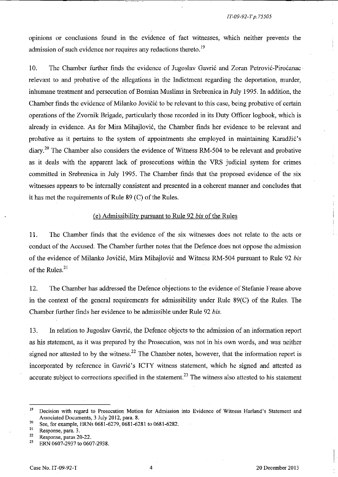opinions or conclusions found in the evidence of fact witnesses, which neither prevents the admission of such evidence nor requires any redactions thereto.<sup>19</sup>

10. The Chamber further finds the evidence of Jugoslav Gavrić and Zoran Petrović-Piroćanac relevant to and probative of the allegations in the Indictment regarding the deportation, murder, inhumane treatment and persecution of Bosnian Muslims in Srebrenica in July 1995. In addition, the Chamber finds the evidence of Milanko Jovičić to be relevant to this case, being probative of certain operations of the Zvornik Brigade, particularly those recorded in its Duty Officer logbook, which is already in evidence. As for Mira Mihajlovi6, the Chamber finds her evidence to be relevant and probative as it pertains to the system of appointments she employed in maintaining Karadžić's diary.20 The Chamber also considers the evidence of Witness RM-504 to be relevant and probative as it deals with the apparent lack of prosecutions within the VRS judicial system for crimes committed in Srebrenica in July 1995. The Chamber finds that the proposed evidence of the six witnesses appears to be internally consistent and presented in a coherent manner and concludes that it has met the requirements of Rule 89 (C) of the Rules.

## ( e) Admissibility pursuant to Rule 92 *his* of the Rules

11. The Chamber finds that the evidence of the six witnesses does not relate to the acts or conduct of the Accused. The Chamber further notes that the Defence does not oppose the admission of the evidence of Milanko Jovici6, Mira Mihajlovi6 and Witness RM-504 pursuant to Rule 92 *his*  of the Rules. $21$ 

12. The Chamber has addressed the Defence objections to the evidence of Stefanie Frease above in the context of the general requirements for admissibility under Rule 89(C) of the Rules. The Chamber further finds her evidence to be admissible under Rule 92 *his.* 

13. In relation to Jugoslav Gavri6, the Defence objects to the admission of an information report as his statement, as it was prepared by the Prosecution, was not in his own words, and was neither signed nor attested to by the witness.<sup>22</sup> The Chamber notes, however, that the information report is incorporated by reference in Gavrić's ICTY witness statement, which he signed and attested as accurate subject to corrections specified in the statement.<sup>23</sup> The witness also attested to his statement

<sup>&</sup>lt;sup>19</sup> Decision with regard to Prosecution Motion for Admission into Evidence of Witness Harland's Statement and Associated Documents, 3 July 2012, para. 8.

<sup>&</sup>lt;sup>20</sup> See, for example, ERNs 0681-6279, 0681-6281 to 0681-6282.

**<sup>21</sup> Response, para. 3.** 

 $\frac{22}{23}$  Response, paras 20-22.

ERN 0607-2937 to 0607-2938.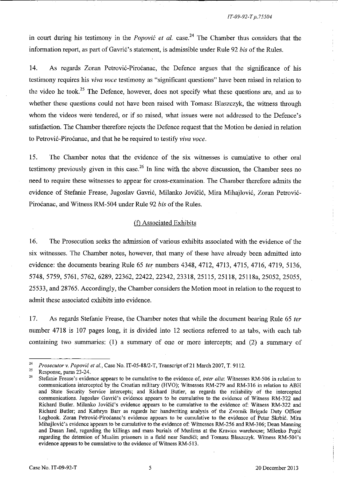in court during his testimony in the *Popovic et al.* case.<sup>24</sup> The Chamber thus considers that the information report, as part of Gavric's statement, is admissible under Rule 92 *bis* of the Rules.

14. As regards Zoran Petrovic-Pirocanac, the Defence argues that the significance of his testimony requires his *viva voce* testimony as "significant questions" have been raised in relation to the video he took.<sup>25</sup> The Defence, however, does not specify what these questions are, and as to whether these questions could not have been raised with Tomasz Blaszczyk, the witness through whom the videos were tendered, or if so raised, what issues were not addressed to the Defence's satisfaction. The Chamber therefore rejects the Defence request that the Motion be denied in relation to Petrovic-Pirocanac, and that he be required to testify *viva voce.* 

15. The Chamber notes that the evidence of the six witnesses is cumulative to other oral testimony previously given in this case.<sup>26</sup> In line with the above discussion, the Chamber sees no need to require these witnesses to appear for cross-examination. The Chamber therefore admits the evidence of Stefanie Frease, Jugoslav Gavric, Milanko Jovicic, Mira Mihajlovic, Zoran Petrovic-Pirocanac, and Witness RM-504 under Rule 92 *bis* of the Rules.

## (f) Associated Exhibits

16. The Prosecution seeks the admission of various exhibits associated with the evidence of the six witnesses. The Chamber notes, however, that many of these have already been admitted into evidence: the documents bearing Rule 65 ter numbers 4348, 4712, 4713, 4715, 4716, 4719, 5136, 5748,5759,5761, 5762, 6289,22362,22422,22342,23318,25115, 25118, 25118a,25052, 25055, 25533, and 28765. Accordingly, the Chamber considers the Motion moot in relation to the request to admit these associated exhibits into evidence.

17. As regards Stefanie Frease, the Chamber notes that while the document bearing Rule 65 ter number 4718 is 107 pages long, it is divided into 12 sections referred to as tabs, with each tab containing two summaries: (1) a summary of one or more intercepts; and (2) a summary of

<sup>&</sup>lt;sup>24</sup> Prosecutor v. Popović et al., Case No. IT-05-88/2-T, Transcript of 21 March 2007, T. 9112.

<sup>&</sup>lt;sup>25</sup> Response, paras 23-24.

**<sup>26</sup> Stefanie Frease's evidence appears to be cumulative to the evidence of,** *inter alia:* **Witnesses RM-506 in relation to**  connnunications intercepted by the Croatian military (HVO); Witnesses RM-279 and RM-316 in relation to ABH and State Security Service intercepts; and Richard Butler. as regards the reliability of the intercepted communications. Jugoslav Gavrić's evidence appears to be cumulative to the evidence of Witness RM-322 and Richard Butler. Milanko Jovičić's evidence appears to be cumulative to the evidence of: Witness RM-322 and Richard Butler; and Kathryn Barr as regards her handwriting analysis of the Zvornik Brigade Duty Officer Logbook. Zoran Petrović-Piroćanac's evidence appears to be cumulative to the evidence of Petar Skrbić. Mira Mihajlović's evidence appears to be cumulative to the evidence of: Witnesses RM-256 and RM-306; Dean Manning and Dusan Jane, regarding the killings and mass burials of Muslims at the Kravica warehouse; Milenko Pepic regarding the detention of Muslim prisoners in a field near Sandići; and Tomasz Blaszczyk. Witness RM-504's evidence appears to be cumulative to the evidence of Witness RM-513.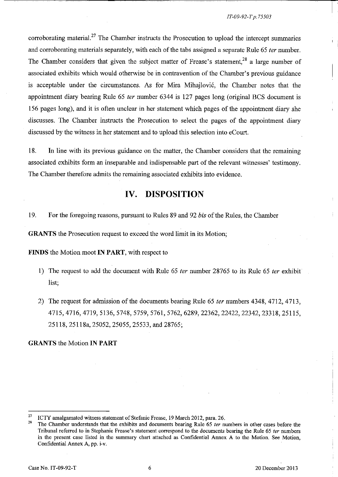#### *IT-09-92-T p. 75503*

corroborating material.<sup>27</sup> The Chamber instructs the Prosecution to upload the intercept summaries and corroborating materials separately, with each of the tabs assigned a separate Rule 65 *ter* number. The Chamber considers that given the subject matter of Frease's statement,<sup>28</sup> a large number of associated exhibits which would otherwise be in contravention of the Chamber's previous guidance is acceptable under the circumstances. As for Mira Mihajlović, the Chamber notes that the appointment diary bearing Rule 65 fer number 6344 is 127 pages long (original BCS document is 156 pages long), and it is often unclear in her statement which pages of the appointment diary she discusses. The Chamber instructs the Prosecution to select the pages of the appointment diary discussed by the witness in her statement and to upload this selection into eCourt

18. In line with its previous guidance on the matter, the Chamber considers that the remaining associated exhibits form an inseparable and indispensable part of the relevant witnesses' testimony. The Chamber therefore admits the remaining associated exhibits into evidence.

# **IV. DISPOSITION**

19. For the foregoing reasons, pursuant to Rules 89 and 92 *bis* of the Rules, the Chamber

**GRANTS** the Prosecution request to exceed the word limit in its Motion;

**FINDS** the Motion moot **IN PART,** with respect to

- 1) The request to add the document with Rule 65 *ter* number 28765 to its Rule 65 *ter* exhibit list;
- 2) The request for admission of the documents bearing Rule 65 fer numbers 4348, 4712, 4713, 4715,4716,4719,5136,5748,5759,5761,5762,6289,22362,22422,22342,23318,25115, 25118, 25118a, 25052, 25055, 25533, and 28765;

**GRANTS** the Motion **IN PART** 

<sup>&</sup>lt;sup>27</sup> ICTY amalgamated witness statement of Stefanie Frease, 19 March 2012, para. 26.

The Chamber understands that the exhibits and documents bearing Rule 65 ter numbers in other cases before the Tribunal referred to in Stephanie Frease's statement correspond to the documents bearing the Rule 65 ter numbers in the present case listed in the sununary chart attached as Confidential Annex A to the Motion. See Motion, Confidential Annex A, pp. i-v.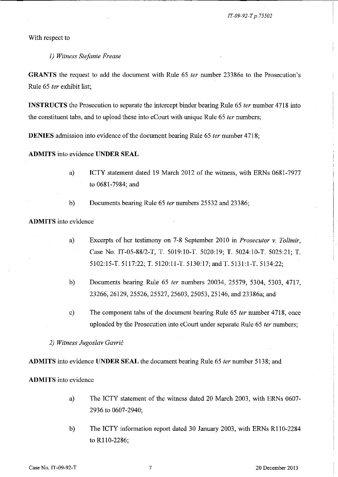I

With respect to

#### *1) Witness Stefanie Frease*

**GRANTS** the request to add the document with Rule 65 *ter* nwnber 23386a to the Prosecution's Rule 65 *ter* exhibit list;

**INSTRUCTS** the Prosecution to separate the intercept binder bearing Rule 65 *ter* number 4718 into the constituent tabs, and to upload these into eCourt with unique Rule 65 *ter* numbers;

**DENIES** admission into evidence of the document bearing Rule 65 *ter* number 4718;

## **ADMITS** into evidence **UNDER SEAL**

a) **ICTY** statement dated 19 March 2012 of the witness, with ERNs 0681-7977 to 0681-7984; and

b) Docwnents bearing Rule 65 *ler* numbers 25532 and 23386;

## **ADMITS** into evidence

- a) Excerpts of her testimony on 7-8 September 2010 in *Prosecutor* v. *Tolimir,*  Case No. *IT-05-88/2-T,* T. 5019:10-T. 5020:19; T. 5024:1O-T. 5025:21; T. 5102:15-T. 5117:22; T. 5120:11-T. 5130:17; and T. 5131:1-T. 5134:22;
- b) Docwnents bearing Rule 65 *fer* nwnbers 20034, 25579, 5304, 5303, 4717, 23266,26129, 25526,25527, 25603, 25053, 25146, and 23386a; and
- c) The component tabs of the document bearing Rule 65 *ter* number 4718, once uploaded by the Prosecution into eCourt under separate Rule 65 *fer* numbers;

*2) Witness Jugos/av Gavric* 

**ADMITS** into evidence **UNDER SEAL** the docwnent bearing Rule 65 *fer* nwnber 5138; and

#### **ADMITS** into evidence

- a) The ICTY statement of the witness dated 20 March 2003, with ERNs 0607- 2936 to 0607-2940;
- b) The ICTY information report dated 30 January 2003, with ERNs R110-2284 to R110-2286;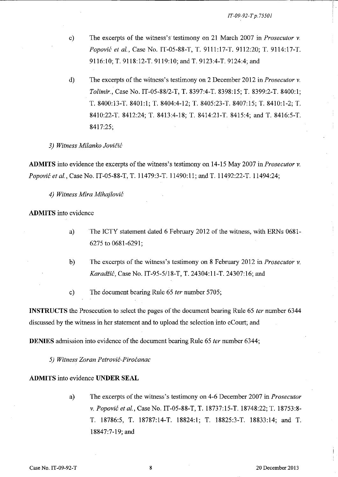- c) The excerpts of the witness's testimony on 21 March 2007 in *Prosecutor* v. *Popovic et al.,* Case No. IT-05-88-T, T. 9111:17-T. 9112:20; T. 9114:17-T. 9116:10; T. 9118:12-T. 9119:10; and T. 9123:4-T. 9124:4; and
- d) The excerpts of the witness's testimony on 2 December 2012 in *Prosecutor* v. *Tolimir.,* Case No. *IT-05-8812-T,* T. 8397:4-T. 8398:15; T. 8399:2-T. 8400:1; T. 8400:13-T. 8401:1; T. 8404:4-12; T. 8405:23-T. 8407:15; T. 8410:1-2; T. 8410:22-T. 8412:24; T. 8413:4-18; T. 8414:21-T. 8415:4; and T. 8416:5-T. 8417:25;

#### *3) Witness Milanko JoviCic*

**ADMITS** into evidence the excerpts of the witness's testimony on 14-15 May 2007 in *Prosecutor* v. *Popovic et aI.,* Case No. IT-05-88-T, T. 11479:3-T. 11490:11; and T. 11492:22-T. 11494:24;

*4) Witness Mira Mihajlovic* 

**ADMITS** into evidence

- a) The ICTY statement dated 6 February 2012 of the witness, with ERNs 0681- 6275 to 0681-6291;
- b) The excerpts of the witness's testimony on 8 February 2012 in *Prosecutor* v. *Karadiic,* Case No. IT-95-5/18-T, T. 24304: 11-T. 24307:16; and
- c) The document bearing Rule 65 *ter* number 5705;

**INSTRUCTS** the Prosecution to select the pages of the document bearing Rule 65 *ter* number 6344 discussed by the witness in her statement and to upload the selection into eCourt; and

**DENIES** admission into evidence of the document bearing Rule 65 *ter* number 6344;

*5) Witness Zoran Pefrovic-Pirocanac* 

#### **ADMITS** into evidence **UNDER SEAL**

a) The excerpts of the witness's testimony on 4-6 December 2007 in *Prosecutor*  v. *Popovic et aI.,* Case No. IT-05-88-T, T. 18737:15-T. 18748:22; T. 18753:8- T. 18786:5, T. 18787:14-T. 18824:1; T. 18825:3-T. 18833:14; and T. 18847:7-19; and